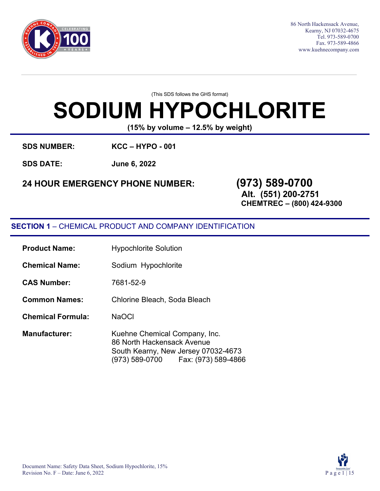

86 North Hackensack Avenue, Kearny, NJ 07032-4675 Tel. 973-589-0700 Fax. 973-589-4866 [www.kuehnecompany.com](http://www.kuehnecompany.com/)

(This SDS follows the GHS format)

# **SODIUM HYPOCHLORITE**

**(15% by volume – 12.5% by weight)**

**SDS NUMBER: KCC – HYPO - 001** 

**SDS DATE: June 6, 2022**

### **24 HOUR EMERGENCY PHONE NUMBER: (973) 589-0700**

**Alt. (551) 200-2751**

**CHEMTREC – (800) 424-9300**

### **SECTION 1** – CHEMICAL PRODUCT AND COMPANY IDENTIFICATION

| <b>Product Name:</b>     | <b>Hypochlorite Solution</b>                                                                                                                |  |  |
|--------------------------|---------------------------------------------------------------------------------------------------------------------------------------------|--|--|
| <b>Chemical Name:</b>    | Sodium Hypochlorite                                                                                                                         |  |  |
| <b>CAS Number:</b>       | 7681-52-9                                                                                                                                   |  |  |
| <b>Common Names:</b>     | Chlorine Bleach, Soda Bleach                                                                                                                |  |  |
| <b>Chemical Formula:</b> | <b>NaOCI</b>                                                                                                                                |  |  |
| <b>Manufacturer:</b>     | Kuehne Chemical Company, Inc.<br>86 North Hackensack Avenue<br>South Kearny, New Jersey 07032-4673<br>(973) 589-0700    Fax: (973) 589-4866 |  |  |

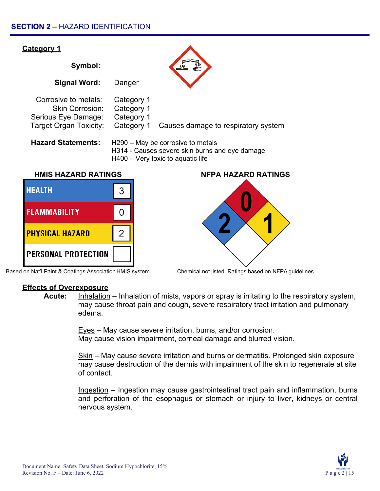

Based on Nat'l Paint & Coatings Association HMIS system Chemical not listed. Ratings based on NFPA guidelines



**Acute:** Inhalation – Inhalation of mists, vapors or spray is irritating to the respiratory system, may cause throat pain and cough, severe respiratory tract irritation and pulmonary edema.

> Eyes – May cause severe irritation, burns, and/or corrosion. May cause vision impairment, corneal damage and blurred vision.

Skin – May cause severe irritation and burns or dermatitis. Prolonged skin exposure may cause destruction of the dermis with impairment of the skin to regenerate at site of contact.

Ingestion – Ingestion may cause gastrointestinal tract pain and inflammation, burns and perforation of the esophagus or stomach or injury to liver, kidneys or central nervous system.

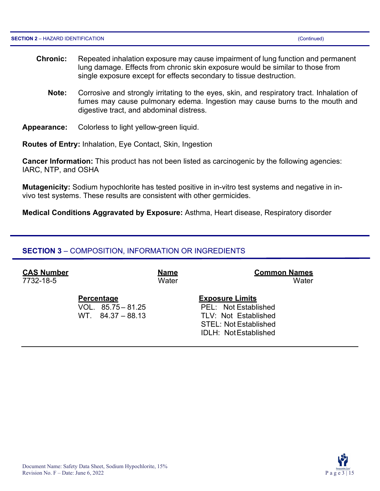- **Chronic:** Repeated inhalation exposure may cause impairment of lung function and permanent lung damage. Effects from chronic skin exposure would be similar to those from single exposure except for effects secondary to tissue destruction.
	- **Note:** Corrosive and strongly irritating to the eyes, skin, and respiratory tract. Inhalation of fumes may cause pulmonary edema. Ingestion may cause burns to the mouth and digestive tract, and abdominal distress.
- **Appearance:** Colorless to light yellow-green liquid.

**Routes of Entry:** Inhalation, Eye Contact, Skin, Ingestion

**Cancer Information:** This product has not been listed as carcinogenic by the following agencies: IARC, NTP, and OSHA

**Mutagenicity:** Sodium hypochlorite has tested positive in in-vitro test systems and negative in invivo test systems. These results are consistent with other germicides.

**Medical Conditions Aggravated by Exposure:** Asthma, Heart disease, Respiratory disorder

#### **SECTION 3** – COMPOSITION, INFORMATION OR INGREDIENTS

| <b>CAS Number</b> |                                                                 | <b>Name</b> | <b>Common Names</b>                                                                                                                    |
|-------------------|-----------------------------------------------------------------|-------------|----------------------------------------------------------------------------------------------------------------------------------------|
| 7732-18-5         |                                                                 | Water       | Water                                                                                                                                  |
|                   | <b>Percentage</b><br>VOL. $85.75 - 81.25$<br>$WT$ 84.37 – 88.13 |             | <b>Exposure Limits</b><br>PEL: Not Established<br>TLV: Not Established<br><b>STEL: Not Established</b><br><b>IDLH: Not Established</b> |

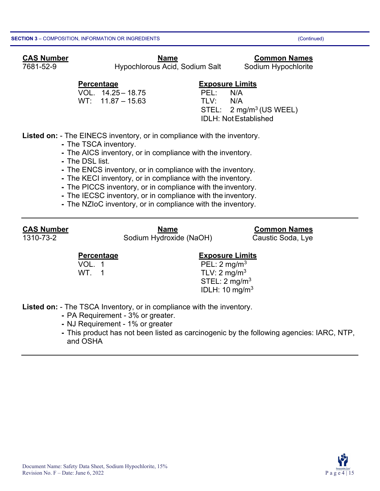### **CAS Number Name Common Names**

7681-52-9 Hypochlorous Acid, Sodium Salt Sodium Hypochlorite

VOL. 14.25 – 18.75 PEL: N/A  $WT: 11.87 - 15.63$ 

### **Percentage Exposure Limits**

 $STEL: 2 mg/m<sup>3</sup> (US WELL)$ IDLH: NotEstablished

**Listed on:** - The EINECS inventory, or in compliance with the inventory.

- **-** The TSCA inventory.
- **-** The AICS inventory, or in compliance with the inventory.
- **-** The DSL list.
- **-** The ENCS inventory, or in compliance with the inventory.
- **-** The KECI inventory, or in compliance with the inventory.
- **-** The PICCS inventory, or in compliance with the inventory.
- **-** The IECSC inventory, or in compliance with the inventory.
- **-** The NZIoC inventory, or in compliance with the inventory.

**CAS Number Name Common Names** Sodium Hydroxide (NaOH) Caustic Soda, Lye

#### **Percentage Construction Exposure Limits**

VOL. 1 **PEL:**  $2 \text{ mg/m}^3$ WT.  $1$  TLV:  $2 \text{ mg/m}^3$  $STEL: 2 mg/m<sup>3</sup>$ IDLH: 10 mg/m3

**Listed on:** - The TSCA Inventory, or in compliance with the inventory.

- **-** PA Requirement 3% or greater.
- **-** NJ Requirement 1% or greater
- **-** This product has not been listed as carcinogenic by the following agencies: IARC, NTP, and OSHA

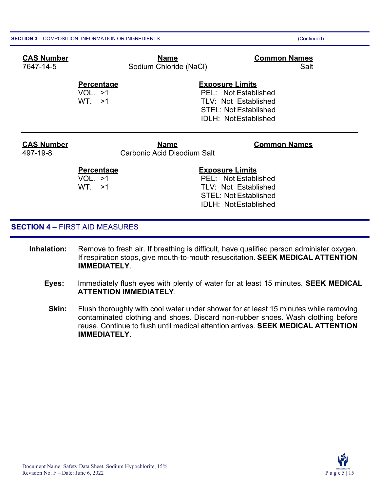| <b>CAS Number</b><br>7647-14-5 | <b>Name</b><br>Sodium Chloride (NaCl)             | <b>Common Names</b><br>Salt                                                                                                           |
|--------------------------------|---------------------------------------------------|---------------------------------------------------------------------------------------------------------------------------------------|
|                                | <b>Percentage</b><br>VOL. >1<br>WT. >1            | <b>Exposure Limits</b><br>PEL: Not Established<br>TLV: Not Established<br><b>STEL: Not Established</b><br><b>IDLH: NotEstablished</b> |
| <b>CAS Number</b><br>497-19-8  | <b>Name</b><br><b>Carbonic Acid Disodium Salt</b> | <b>Common Names</b>                                                                                                                   |
|                                | <b>Percentage</b><br>VOL. >1<br>WT. >1            | <b>Exposure Limits</b><br>PEL: Not Established<br><b>TLV: Not Established</b>                                                         |

#### **SECTION 4** – FIRST AID MEASURES

- **Inhalation:** Remove to fresh air. If breathing is difficult, have qualified person administer oxygen. If respiration stops, give mouth-to-mouth resuscitation. **SEEK MEDICAL ATTENTION IMMEDIATELY**.
	- **Eyes:** Immediately flush eyes with plenty of water for at least 15 minutes. **SEEK MEDICAL ATTENTION IMMEDIATELY**.

STEL: Not Established IDLH: NotEstablished

**Skin:** Flush thoroughly with cool water under shower for at least 15 minutes while removing contaminated clothing and shoes. Discard non-rubber shoes. Wash clothing before reuse. Continue to flush until medical attention arrives. **SEEK MEDICAL ATTENTION IMMEDIATELY.**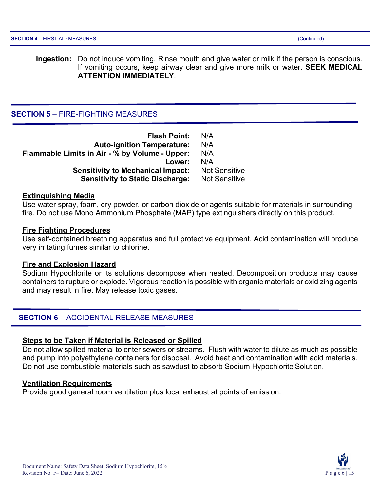**Ingestion:** Do not induce vomiting. Rinse mouth and give water or milk if the person is conscious. If vomiting occurs, keep airway clear and give more milk or water. **SEEK MEDICAL ATTENTION IMMEDIATELY**.

#### **SECTION 5** – FIRE-FIGHTING MEASURES

| <b>Flash Point:</b>                            | N/A                  |
|------------------------------------------------|----------------------|
| <b>Auto-ignition Temperature:</b>              | N/A                  |
| Flammable Limits in Air - % by Volume - Upper: | N/A                  |
| Lower:                                         | N/A                  |
| <b>Sensitivity to Mechanical Impact:</b>       | <b>Not Sensitive</b> |
| <b>Sensitivity to Static Discharge:</b>        | <b>Not Sensitive</b> |

#### **Extinguishing Media**

Use water spray, foam, dry powder, or carbon dioxide or agents suitable for materials in surrounding fire. Do not use Mono Ammonium Phosphate (MAP) type extinguishers directly on this product.

#### **Fire Fighting Procedures**

Use self-contained breathing apparatus and full protective equipment. Acid contamination will produce very irritating fumes similar to chlorine.

#### **Fire and Explosion Hazard**

Sodium Hypochlorite or its solutions decompose when heated. Decomposition products may cause containers to rupture or explode. Vigorous reaction is possible with organic materials or oxidizing agents and may result in fire. May release toxic gases.

#### **SECTION 6** – ACCIDENTAL RELEASE MEASURES

#### **Steps to be Taken if Material is Released or Spilled**

Do not allow spilled material to enter sewers or streams. Flush with water to dilute as much as possible and pump into polyethylene containers for disposal. Avoid heat and contamination with acid materials. Do not use combustible materials such as sawdust to absorb Sodium Hypochlorite Solution.

#### **Ventilation Requirements**

Provide good general room ventilation plus local exhaust at points of emission.

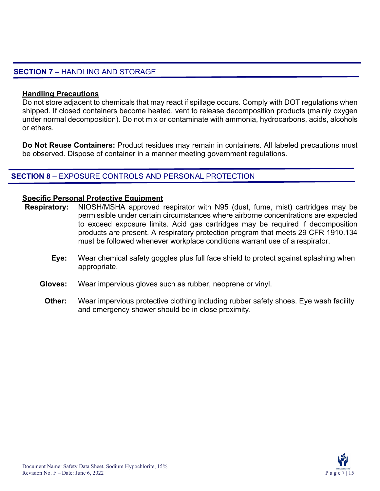#### **SECTION 7** – HANDLING AND STORAGE

#### **Handling Precautions**

Do not store adjacent to chemicals that may react if spillage occurs. Comply with DOT regulations when shipped. If closed containers become heated, vent to release decomposition products (mainly oxygen under normal decomposition). Do not mix or contaminate with ammonia, hydrocarbons, acids, alcohols or ethers.

**Do Not Reuse Containers:** Product residues may remain in containers. All labeled precautions must be observed. Dispose of container in a manner meeting government regulations.

#### **SECTION 8** – EXPOSURE CONTROLS AND PERSONAL PROTECTION

#### **Specific Personal Protective Equipment**

- **Respiratory:** NIOSH/MSHA approved respirator with N95 (dust, fume, mist) cartridges may be permissible under certain circumstances where airborne concentrations are expected to exceed exposure limits. Acid gas cartridges may be required if decomposition products are present. A respiratory protection program that meets 29 CFR 1910.134 must be followed whenever workplace conditions warrant use of a respirator.
	- **Eye:** Wear chemical safety goggles plus full face shield to protect against splashing when appropriate.
	- **Gloves:** Wear impervious gloves such as rubber, neoprene or vinyl.
		- **Other:** Wear impervious protective clothing including rubber safety shoes. Eye wash facility and emergency shower should be in close proximity.

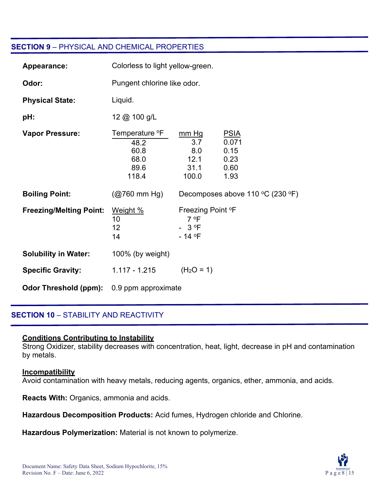#### **SECTION 9** – PHYSICAL AND CHEMICAL PROPERTIES

| Appearance:                    | Colorless to light yellow-green.                                    |                                                              |                                                      |
|--------------------------------|---------------------------------------------------------------------|--------------------------------------------------------------|------------------------------------------------------|
| Odor:                          | Pungent chlorine like odor.                                         |                                                              |                                                      |
| <b>Physical State:</b>         | Liquid.                                                             |                                                              |                                                      |
| pH:                            | 12 @ 100 g/L                                                        |                                                              |                                                      |
| <b>Vapor Pressure:</b>         | Temperature <sup>o</sup> F<br>48.2<br>60.8<br>68.0<br>89.6<br>118.4 | mm Hg<br>3.7<br>8.0<br>12.1<br>31.1<br>100.0                 | <b>PSIA</b><br>0.071<br>0.15<br>0.23<br>0.60<br>1.93 |
| <b>Boiling Point:</b>          | $(Q760 \text{ mm Hg})$                                              |                                                              | Decomposes above 110 °C (230 °F)                     |
| <b>Freezing/Melting Point:</b> | Weight %<br>10<br>12<br>14                                          | Freezing Point °F<br>7 °F<br>$-3$ <sup>o</sup> F<br>$-14$ °F |                                                      |
| <b>Solubility in Water:</b>    | 100% (by weight)                                                    |                                                              |                                                      |
| <b>Specific Gravity:</b>       | 1.117 - 1.215                                                       | $(H2O = 1)$                                                  |                                                      |
| <b>Odor Threshold (ppm):</b>   | 0.9 ppm approximate                                                 |                                                              |                                                      |

#### **SECTION 10** – STABILITY AND REACTIVITY

#### **Conditions Contributing to Instability**

Strong Oxidizer, stability decreases with concentration, heat, light, decrease in pH and contamination by metals.

#### **Incompatibility**

Avoid contamination with heavy metals, reducing agents, organics, ether, ammonia, and acids.

**Reacts With:** Organics, ammonia and acids.

**Hazardous Decomposition Products:** Acid fumes, Hydrogen chloride and Chlorine.

**Hazardous Polymerization:** Material is not known to polymerize.

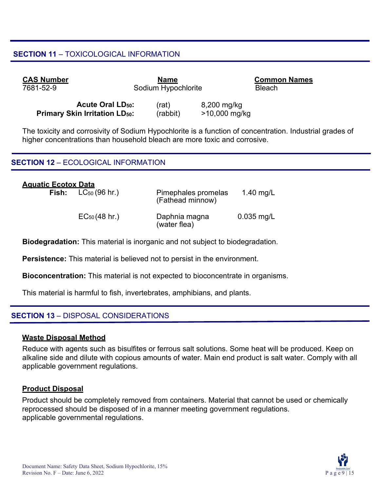#### **SECTION 11** – TOXICOLOGICAL INFORMATION

| <b>CAS Number</b> |                                    | <b>Name</b>         |             | <b>Common Names</b> |
|-------------------|------------------------------------|---------------------|-------------|---------------------|
| 7681-52-9         |                                    | Sodium Hypochlorite |             | <b>Bleach</b>       |
|                   | <b>Acute Oral LD<sub>50</sub>:</b> | (rat)               | 8,200 mg/kg |                     |

**Primary Skin Irritation LD<sub>50</sub>:** (rabbit) >10,000 mg/kg

The toxicity and corrosivity of Sodium Hypochlorite is a function of concentration. Industrial grades of higher concentrations than household bleach are more toxic and corrosive.

#### **SECTION 12** – ECOLOGICAL INFORMATION

| <b>Aguatic Ecotox Data</b> |                                 |                                         |              |
|----------------------------|---------------------------------|-----------------------------------------|--------------|
|                            | <b>Fish:</b> $LC_{50}$ (96 hr.) | Pimephales promelas<br>(Fathead minnow) | 1.40 mg/L    |
|                            | $EC_{50}(48 \text{ hr.})$       | Daphnia magna<br>(water flea)           | $0.035$ mg/L |

**Biodegradation:** This material is inorganic and not subject to biodegradation.

**Persistence:** This material is believed not to persist in the environment.

**Bioconcentration:** This material is not expected to bioconcentrate in organisms.

This material is harmful to fish, invertebrates, amphibians, and plants.

#### **SECTION 13** – DISPOSAL CONSIDERATIONS

#### **Waste Disposal Method**

Reduce with agents such as bisulfites or ferrous salt solutions. Some heat will be produced. Keep on alkaline side and dilute with copious amounts of water. Main end product is salt water. Comply with all applicable government regulations.

#### **Product Disposal**

Product should be completely removed from containers. Material that cannot be used or chemically reprocessed should be disposed of in a manner meeting government regulations. applicable governmental regulations.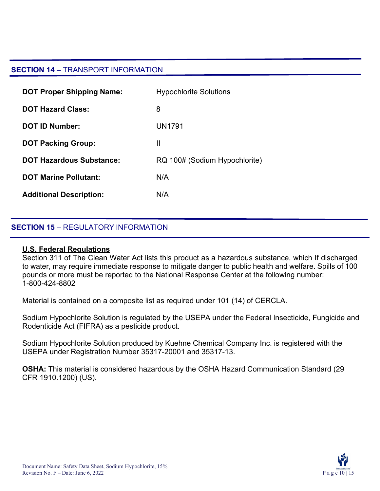#### **SECTION 14** – TRANSPORT INFORMATION

| <b>DOT Proper Shipping Name:</b> | <b>Hypochlorite Solutions</b> |
|----------------------------------|-------------------------------|
| <b>DOT Hazard Class:</b>         | 8                             |
| <b>DOT ID Number:</b>            | UN1791                        |
| <b>DOT Packing Group:</b>        | Ш                             |
| <b>DOT Hazardous Substance:</b>  | RQ 100# (Sodium Hypochlorite) |
| <b>DOT Marine Pollutant:</b>     | N/A                           |
| <b>Additional Description:</b>   | N/A                           |

#### **SECTION 15** – REGULATORY INFORMATION

#### **U.S. Federal Regulations**

Section 311 of The Clean Water Act lists this product as a hazardous substance, which If discharged to water, may require immediate response to mitigate danger to public health and welfare. Spills of 100 pounds or more must be reported to the National Response Center at the following number: 1-800-424-8802

Material is contained on a composite list as required under 101 (14) of CERCLA.

Sodium Hypochlorite Solution is regulated by the USEPA under the Federal Insecticide, Fungicide and Rodenticide Act (FIFRA) as a pesticide product.

Sodium Hypochlorite Solution produced by Kuehne Chemical Company Inc. is registered with the USEPA under Registration Number 35317-20001 and 35317-13.

**OSHA:** This material is considered hazardous by the OSHA Hazard Communication Standard (29 CFR 1910.1200) (US).

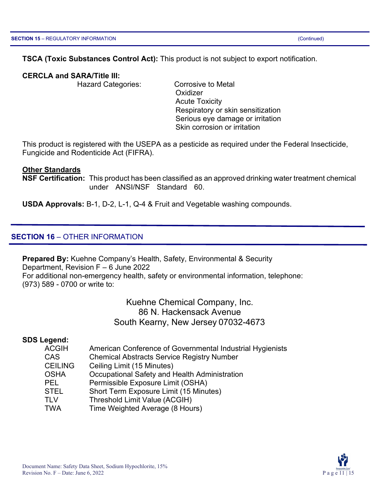#### **TSCA (Toxic Substances Control Act):** This product is not subject to export notification.

#### **CERCLA and SARA/Title III:**

Hazard Categories: Corrosive to Metal

**Oxidizer** Acute Toxicity Respiratory or skin sensitization Serious eye damage or irritation Skin corrosion or irritation

This product is registered with the USEPA as a pesticide as required under the Federal Insecticide, Fungicide and Rodenticide Act (FIFRA).

#### **Other Standards**

**NSF Certification:** This product has been classified as an approved drinking water treatment chemical under ANSI/NSF Standard 60.

**USDA Approvals:** B-1, D-2, L-1, Q-4 & Fruit and Vegetable washing compounds.

#### **SECTION 16** – OTHER INFORMATION

**Prepared By:** Kuehne Company's Health, Safety, Environmental & Security Department, Revision F – 6 June 2022 For additional non-emergency health, safety or environmental information, telephone: (973) 589 - 0700 or write to:

> Kuehne Chemical Company, Inc. 86 N. Hackensack Avenue South Kearny, New Jersey 07032-4673

#### **SDS Legend:**

| <b>ACGIH</b>   | American Conference of Governmental Industrial Hygienists |
|----------------|-----------------------------------------------------------|
| <b>CAS</b>     | <b>Chemical Abstracts Service Registry Number</b>         |
| <b>CEILING</b> | Ceiling Limit (15 Minutes)                                |
| <b>OSHA</b>    | Occupational Safety and Health Administration             |
| <b>PEL</b>     | Permissible Exposure Limit (OSHA)                         |
| <b>STEL</b>    | Short Term Exposure Limit (15 Minutes)                    |
| <b>TLV</b>     | Threshold Limit Value (ACGIH)                             |
| <b>TWA</b>     | Time Weighted Average (8 Hours)                           |

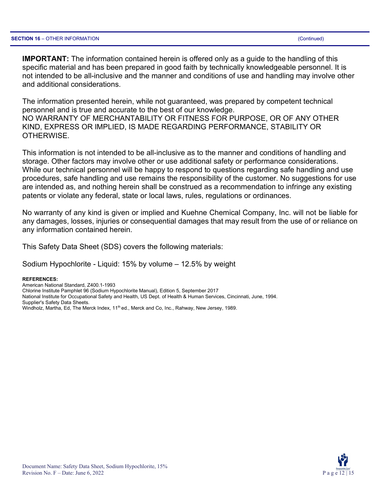**IMPORTANT:** The information contained herein is offered only as a guide to the handling of this specific material and has been prepared in good faith by technically knowledgeable personnel. It is not intended to be all-inclusive and the manner and conditions of use and handling may involve other and additional considerations.

The information presented herein, while not guaranteed, was prepared by competent technical personnel and is true and accurate to the best of our knowledge. NO WARRANTY OF MERCHANTABILITY OR FITNESS FOR PURPOSE, OR OF ANY OTHER KIND, EXPRESS OR IMPLIED, IS MADE REGARDING PERFORMANCE, STABILITY OR OTHERWISE.

This information is not intended to be all-inclusive as to the manner and conditions of handling and storage. Other factors may involve other or use additional safety or performance considerations. While our technical personnel will be happy to respond to questions regarding safe handling and use procedures, safe handling and use remains the responsibility of the customer. No suggestions for use are intended as, and nothing herein shall be construed as a recommendation to infringe any existing patents or violate any federal, state or local laws, rules, regulations or ordinances.

No warranty of any kind is given or implied and Kuehne Chemical Company, Inc. will not be liable for any damages, losses, injuries or consequential damages that may result from the use of or reliance on any information contained herein.

This Safety Data Sheet (SDS) covers the following materials:

Sodium Hypochlorite - Liquid: 15% by volume – 12.5% by weight

#### **REFERENCES:**

American National Standard, Z400.1-1993 Chlorine Institute Pamphlet 96 (Sodium Hypochlorite Manual), Edition 5, September 2017 National Institute for Occupational Safety and Health, US Dept. of Health & Human Services, Cincinnati, June, 1994. Supplier's Safety Data Sheets. Windholz, Martha, Ed, The Merck Index, 11<sup>th</sup> ed., Merck and Co, Inc., Rahway, New Jersey, 1989.

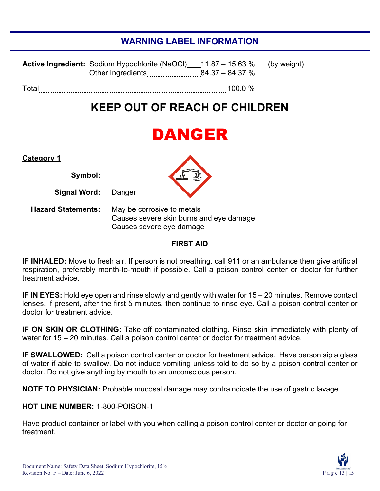### **WARNING LABEL INFORMATION**

|       | <b>Active Ingredient:</b> Sodium Hypochlorite (NaOCI) 11.87 – 15.63 % (by weight) |         |  |
|-------|-----------------------------------------------------------------------------------|---------|--|
| Total |                                                                                   | 100.0 % |  |

### **KEEP OUT OF REACH OF CHILDREN**

## DANGER

| <u>Category 1</u>          |  |
|----------------------------|--|
| Symbol:                    |  |
| <b>Signal Word:</b> Danger |  |

**Hazard Statements:** May be corrosive to metals Causes severe skin burns and eye damage Causes severe eye damage

#### **FIRST AID**

**IF INHALED:** Move to fresh air. If person is not breathing, call 911 or an ambulance then give artificial respiration, preferably month-to-mouth if possible. Call a poison control center or doctor for further treatment advice.

**IF IN EYES:** Hold eye open and rinse slowly and gently with water for 15 – 20 minutes. Remove contact lenses, if present, after the first 5 minutes, then continue to rinse eye. Call a poison control center or doctor for treatment advice.

**IF ON SKIN OR CLOTHING:** Take off contaminated clothing. Rinse skin immediately with plenty of water for 15 – 20 minutes. Call a poison control center or doctor for treatment advice.

**IF SWALLOWED:** Call a poison control center or doctor for treatment advice. Have person sip a glass of water if able to swallow. Do not induce vomiting unless told to do so by a poison control center or doctor. Do not give anything by mouth to an unconscious person.

**NOTE TO PHYSICIAN:** Probable mucosal damage may contraindicate the use of gastric lavage.

#### **HOT LINE NUMBER:** 1-800-POISON-1

Have product container or label with you when calling a poison control center or doctor or going for treatment.

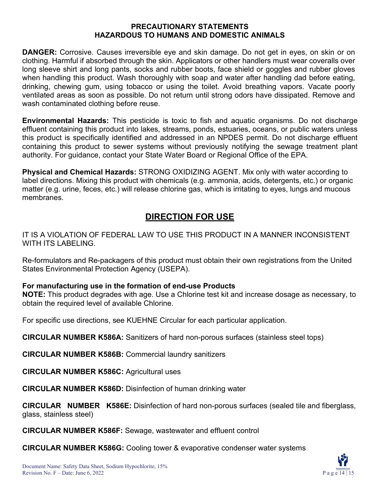#### **PRECAUTIONARY STATEMENTS HAZARDOUS TO HUMANS AND DOMESTIC ANIMALS**

**DANGER:** Corrosive. Causes irreversible eye and skin damage. Do not get in eyes, on skin or on clothing. Harmful if absorbed through the skin. Applicators or other handlers must wear coveralls over long sleeve shirt and long pants, socks and rubber boots, face shield or goggles and rubber gloves when handling this product. Wash thoroughly with soap and water after handling dad before eating, drinking, chewing gum, using tobacco or using the toilet. Avoid breathing vapors. Vacate poorly ventilated areas as soon as possible. Do not return until strong odors have dissipated. Remove and wash contaminated clothing before reuse.

**Environmental Hazards:** This pesticide is toxic to fish and aquatic organisms. Do not discharge effluent containing this product into lakes, streams, ponds, estuaries, oceans, or public waters unless this product is specifically identified and addressed in an NPDES permit. Do not discharge effluent containing this product to sewer systems without previously notifying the sewage treatment plant authority. For guidance, contact your State Water Board or Regional Office of the EPA.

**Physical and Chemical Hazards:** STRONG OXIDIZING AGENT. Mix only with water according to label directions. Mixing this product with chemicals (e.g. ammonia, acids, detergents, etc.) or organic matter (e.g. urine, feces, etc.) will release chlorine gas, which is irritating to eyes, lungs and mucous membranes.

### **DIRECTION FOR USE**

IT IS A VIOLATION OF FEDERAL LAW TO USE THIS PRODUCT IN A MANNER INCONSISTENT WITH ITS LABELING.

Re-formulators and Re-packagers of this product must obtain their own registrations from the United States Environmental Protection Agency (USEPA).

#### **For manufacturing use in the formation of end-use Products**

**NOTE:** This product degrades with age. Use a Chlorine test kit and increase dosage as necessary, to obtain the required level of available Chlorine.

For specific use directions, see KUEHNE Circular for each particular application.

**CIRCULAR NUMBER K586A:** Sanitizers of hard non-porous surfaces (stainless steel tops)

**CIRCULAR NUMBER K586B:** Commercial laundry sanitizers

**CIRCULAR NUMBER K586C:** Agricultural uses

**CIRCULAR NUMBER K586D:** Disinfection of human drinking water

**CIRCULAR NUMBER K586E:** Disinfection of hard non-porous surfaces (sealed tile and fiberglass, glass, stainless steel)

**CIRCULAR NUMBER K586F:** Sewage, wastewater and effluent control

**CIRCULAR NUMBER K586G:** Cooling tower & evaporative condenser water systems